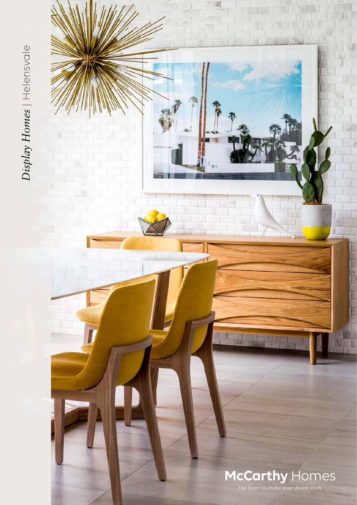Display Homes | Helensvale *Display Homes* | Helensvale

## McCarthy Homes

 $\mathbf{r}$ 

The team to make *your dream* work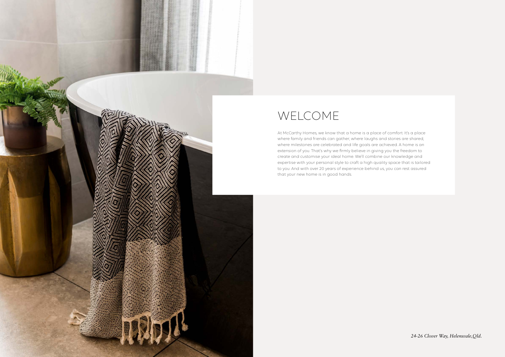

## WELCOME

At McCarthy Homes, we know that a home is a place of comfort. It's a place where family and friends can gather; where laughs and stories are shared; where milestones are celebrated and life goals are achieved. A home is an extension of you. That's why we firmly believe in giving you the freedom to create and customise your ideal home. We'll combine our knowledge and expertise with your personal style to craft a high quality space that is tailored to you. And with over 20 years of experience behind us, you can rest assured that your new home is in good hands.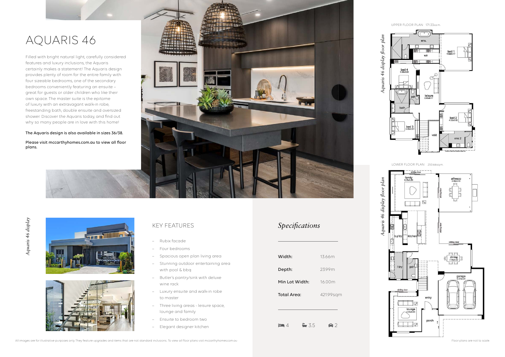## AQUARIS 46

Filled with bright natural light, carefully considered features and luxury inclusions, the Aquaris certainly makes a statement! The Aquaris design provides plenty of room for the entire family with four sizeable bedrooms, one of the secondary bedrooms conveniently featuring an ensuite – great for guests or older children who like their own space. The master suite is the epitome of luxury with an extravagant walk-in robe, freestanding bath, double ensuite and oversized shower. Discover the Aquaris today, and find out why so many people are in love with this home!

- Rubix facade
- Four bedrooms
- Spacious open plan living area
- Stunning outdoor entertaining area with pool & bbq
- Butler's pantry/sink with deluxe wine rack
- Luxury ensuite and walk-in robe to master
- Three living areas leisure space, lounge and family
- Ensuite to bedroom two
- Elegant designer kitchen  $\Box$  4  $\Box$  3.5  $\Box$  2

# Aquaris 46 display *Aquaris 46 display*





The Aquaris design is also available in sizes 36/38.

Please visit mccarthyhomes.com.au to view all floor plans.



#### KEY FEATURES

UPPER FLOOR PLAN 171.33sq.m.



LOWER FLOOR PLAN 250.66sq.m.

### *Specifications*

| 13 66m    |
|-----------|
| 2399m     |
| 16 00 m   |
| 421.99sqm |
|           |

All images are for illustrative purposes only. They feature upgrades and items that are not standard inclusions. To view all floor plans visit mccarthyhomes.com.au Floor plans visit mccarthyhomes.com.au Floor plans are not

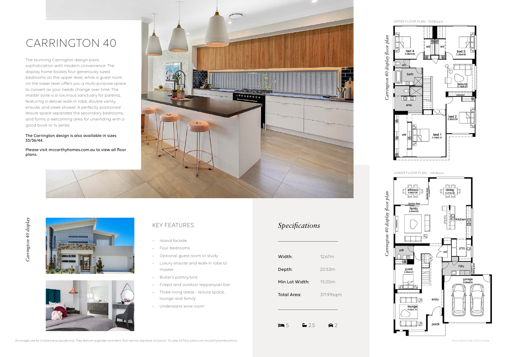## CARRINGTON 40

The stunning Carrington design pairs sophistication with modern convenience. The display home boasts four generously sized bedrooms on the upper level, while a guest room on the lower level offers you a multi-purpose space to convert as your needs change over time. The master suite is a luxurious sanctuary for parents, featuring a deluxe walk-in robe, double vanity ensuite, and sleek shower. A perfectly positioned leisure space separates the secondary bedrooms, and forms a welcoming area for unwinding with a good book or tv series.





#### The Carrington design is also available in sizes 33/36/44.

Please visit mccarthyhomes.com.au to view all floor plans.



Carrington 40 display floor plan *Carrington 40 display floor plan*

#### KEY FEATURES

- Island facade
- Four bedrooms
- Optional guest room or study
- Luxury ensuite and walk-in robe to master
- Butler's pantry/sink
- Firepit and outdoor teppanyaki bar
- Three living areas leisure space, lounge and family
- Understairs wine room

UPPER FLOOR PLAN 153.81sq.m.

LOWER FLOOR PLAN 218.18sq.m.



#### *Specifications*

| Width:             | 1267m     |
|--------------------|-----------|
| Depth:             | 20.53m    |
| Min Lot Width:     | 15.00m    |
| <b>Total Area:</b> | 371.99sqm |

Ľ

 $25$   $\bullet$  2

*Carrington 40 display floor plan*

Carrington 40 display floor plan